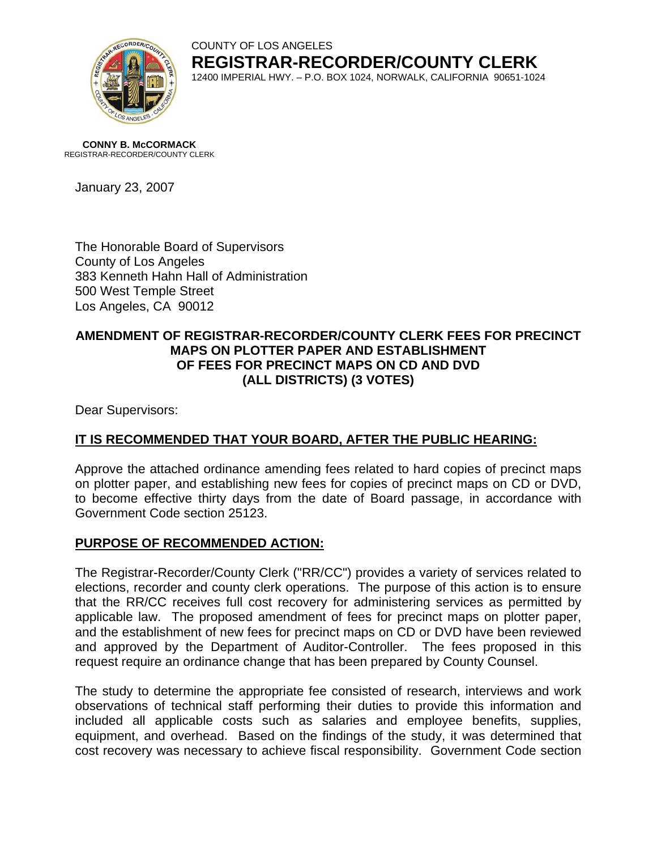

COUNTY OF LOS ANGELES **REGISTRAR-RECORDER/COUNTY CLERK** 12400 IMPERIAL HWY. – P.O. BOX 1024, NORWALK, CALIFORNIA 90651-1024

**CONNY B. McCORMACK** REGISTRAR-RECORDER/COUNTY CLERK

January 23, 2007

The Honorable Board of Supervisors County of Los Angeles 383 Kenneth Hahn Hall of Administration 500 West Temple Street Los Angeles, CA 90012

### **AMENDMENT OF REGISTRAR-RECORDER/COUNTY CLERK FEES FOR PRECINCT MAPS ON PLOTTER PAPER AND ESTABLISHMENT OF FEES FOR PRECINCT MAPS ON CD AND DVD (ALL DISTRICTS) (3 VOTES)**

Dear Supervisors:

## **IT IS RECOMMENDED THAT YOUR BOARD, AFTER THE PUBLIC HEARING:**

Approve the attached ordinance amending fees related to hard copies of precinct maps on plotter paper, and establishing new fees for copies of precinct maps on CD or DVD, to become effective thirty days from the date of Board passage, in accordance with Government Code section 25123.

## **PURPOSE OF RECOMMENDED ACTION:**

The Registrar-Recorder/County Clerk ("RR/CC") provides a variety of services related to elections, recorder and county clerk operations. The purpose of this action is to ensure that the RR/CC receives full cost recovery for administering services as permitted by applicable law. The proposed amendment of fees for precinct maps on plotter paper, and the establishment of new fees for precinct maps on CD or DVD have been reviewed and approved by the Department of Auditor-Controller. The fees proposed in this request require an ordinance change that has been prepared by County Counsel.

The study to determine the appropriate fee consisted of research, interviews and work observations of technical staff performing their duties to provide this information and included all applicable costs such as salaries and employee benefits, supplies, equipment, and overhead. Based on the findings of the study, it was determined that cost recovery was necessary to achieve fiscal responsibility. Government Code section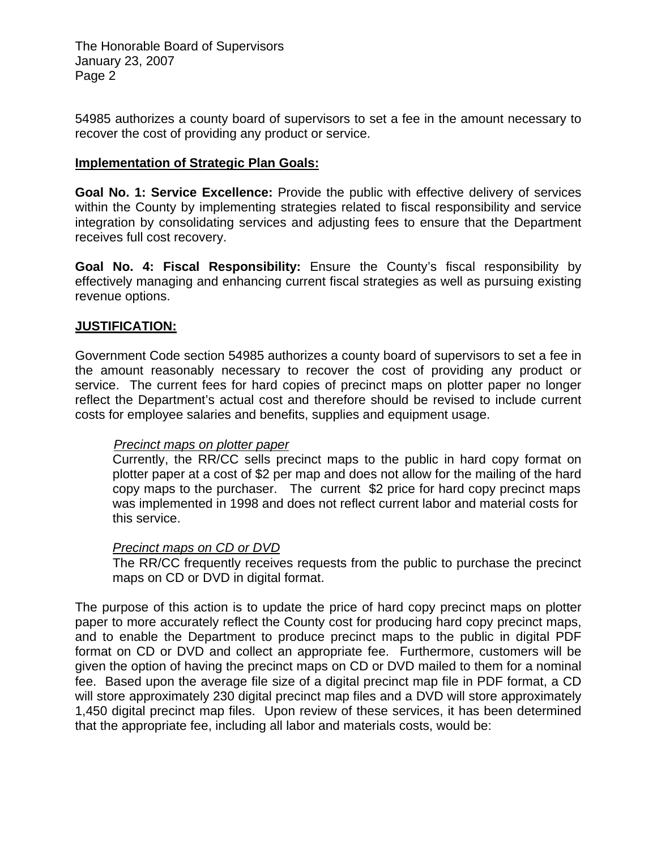The Honorable Board of Supervisors January 23, 2007 Page 2

54985 authorizes a county board of supervisors to set a fee in the amount necessary to recover the cost of providing any product or service.

#### **Implementation of Strategic Plan Goals:**

**Goal No. 1: Service Excellence:** Provide the public with effective delivery of services within the County by implementing strategies related to fiscal responsibility and service integration by consolidating services and adjusting fees to ensure that the Department receives full cost recovery.

**Goal No. 4: Fiscal Responsibility:** Ensure the County's fiscal responsibility by effectively managing and enhancing current fiscal strategies as well as pursuing existing revenue options.

#### **JUSTIFICATION:**

Government Code section 54985 authorizes a county board of supervisors to set a fee in the amount reasonably necessary to recover the cost of providing any product or service. The current fees for hard copies of precinct maps on plotter paper no longer reflect the Department's actual cost and therefore should be revised to include current costs for employee salaries and benefits, supplies and equipment usage.

#### *Precinct maps on plotter paper*

Currently, the RR/CC sells precinct maps to the public in hard copy format on plotter paper at a cost of \$2 per map and does not allow for the mailing of the hard copy maps to the purchaser. The current \$2 price for hard copy precinct maps was implemented in 1998 and does not reflect current labor and material costs for this service.

#### *Precinct maps on CD or DVD*

The RR/CC frequently receives requests from the public to purchase the precinct maps on CD or DVD in digital format.

The purpose of this action is to update the price of hard copy precinct maps on plotter paper to more accurately reflect the County cost for producing hard copy precinct maps, and to enable the Department to produce precinct maps to the public in digital PDF format on CD or DVD and collect an appropriate fee. Furthermore, customers will be given the option of having the precinct maps on CD or DVD mailed to them for a nominal fee. Based upon the average file size of a digital precinct map file in PDF format, a CD will store approximately 230 digital precinct map files and a DVD will store approximately 1,450 digital precinct map files. Upon review of these services, it has been determined that the appropriate fee, including all labor and materials costs, would be: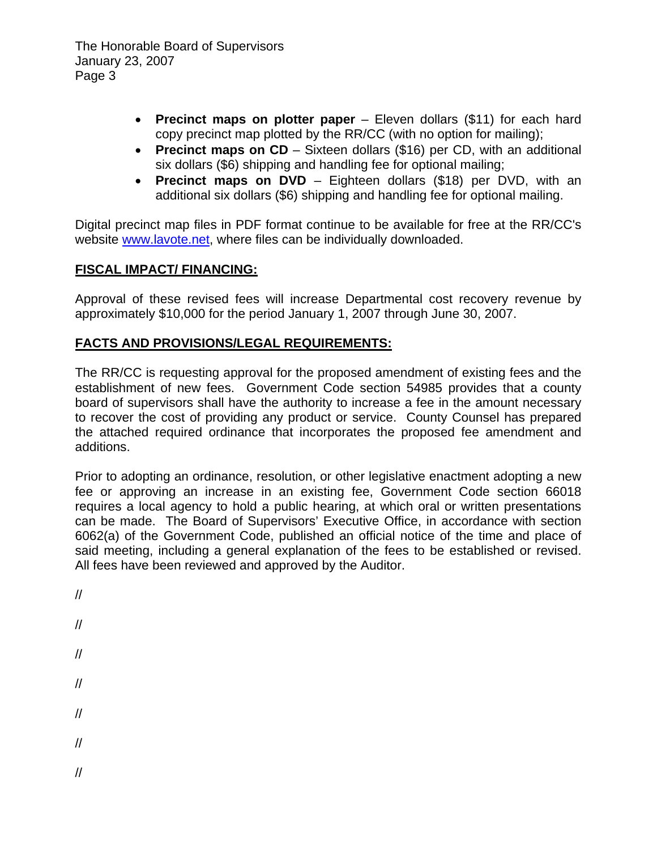- **Precinct maps on plotter paper**  Eleven dollars (\$11) for each hard copy precinct map plotted by the RR/CC (with no option for mailing);
- **Precinct maps on CD** Sixteen dollars (\$16) per CD, with an additional six dollars (\$6) shipping and handling fee for optional mailing;
- **Precinct maps on DVD** Eighteen dollars (\$18) per DVD, with an additional six dollars (\$6) shipping and handling fee for optional mailing.

Digital precinct map files in PDF format continue to be available for free at the RR/CC's website [www.lavote.net](http://www.lavote.net/), where files can be individually downloaded.

# **FISCAL IMPACT/ FINANCING:**

Approval of these revised fees will increase Departmental cost recovery revenue by approximately \$10,000 for the period January 1, 2007 through June 30, 2007.

# **FACTS AND PROVISIONS/LEGAL REQUIREMENTS:**

The RR/CC is requesting approval for the proposed amendment of existing fees and the establishment of new fees. Government Code section 54985 provides that a county board of supervisors shall have the authority to increase a fee in the amount necessary to recover the cost of providing any product or service. County Counsel has prepared the attached required ordinance that incorporates the proposed fee amendment and additions.

Prior to adopting an ordinance, resolution, or other legislative enactment adopting a new fee or approving an increase in an existing fee, Government Code section 66018 requires a local agency to hold a public hearing, at which oral or written presentations can be made. The Board of Supervisors' Executive Office, in accordance with section 6062(a) of the Government Code, published an official notice of the time and place of said meeting, including a general explanation of the fees to be established or revised. All fees have been reviewed and approved by the Auditor.

- // //
- //
- //
- //
- 
- //
- //